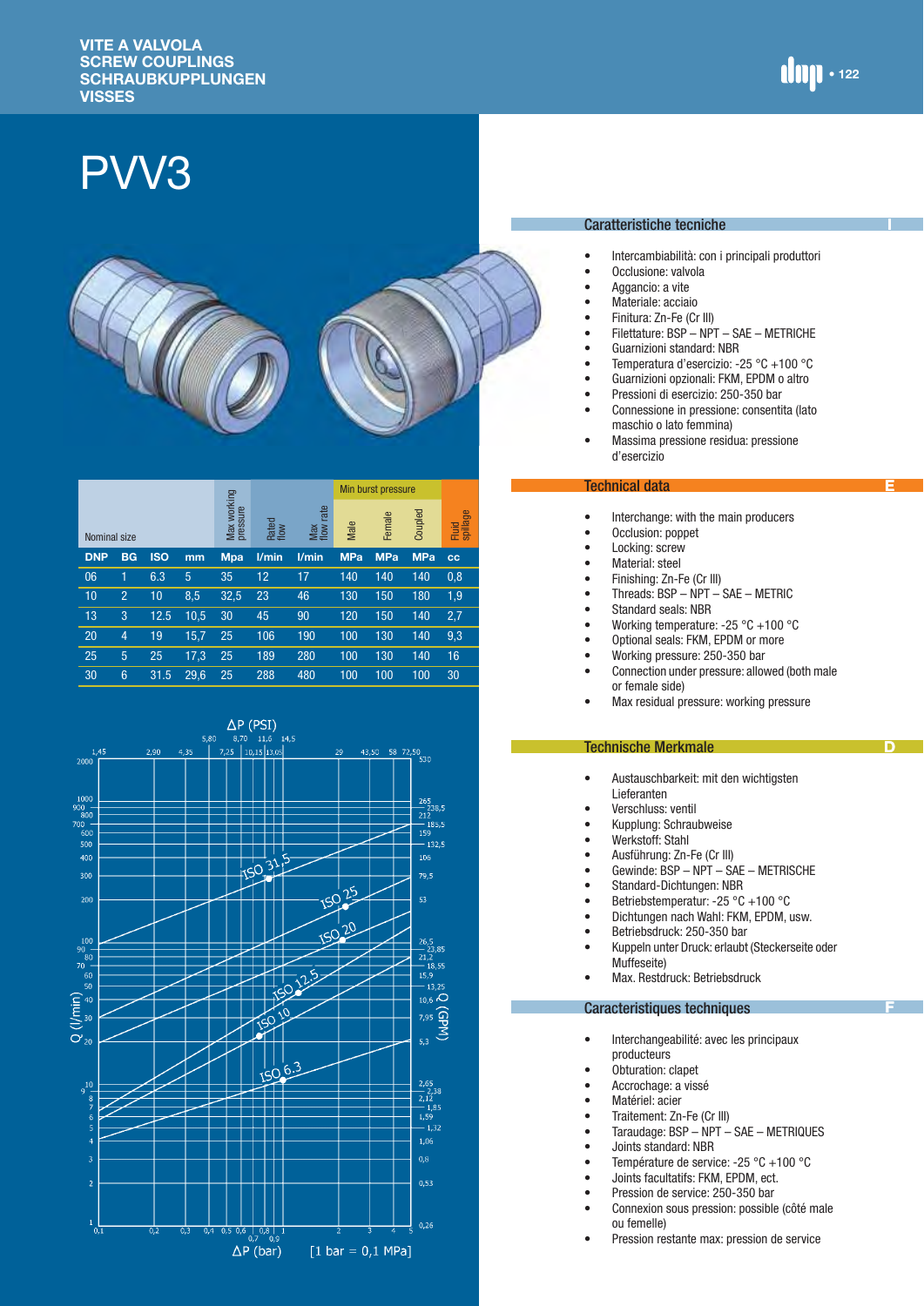#### **VITE A VALVOLA SCREW COUPLINGS SCHRAUBKUPPLUNGEN VISSES**

**I**

**E**

**D**

# PVV3



|              |                |            |      |                         |               |                     |            | Min burst pressure |            |                   |
|--------------|----------------|------------|------|-------------------------|---------------|---------------------|------------|--------------------|------------|-------------------|
| Nominal size |                |            |      | Max working<br>pressure | Rated<br>flow | rate<br>Max<br>flow | Male       | Female             | Coupled    | spillage<br>Fluid |
| <b>DNP</b>   | <b>BG</b>      | <b>ISO</b> | mm   | <b>Mpa</b>              | l/min         | V <sub>min</sub>    | <b>MPa</b> | <b>MPa</b>         | <b>MPa</b> | $_{\rm cc}$       |
| 06           | 1              | 6.3        | 5    | 35                      | 12            | 17                  | 140        | 140                | 140        | 0,8               |
| 10           | $\overline{2}$ | 10         | 8,5  | 32,5                    | 23            | 46                  | 130        | 150                | 180        | 1,9               |
| 13           | 3              | 12.5       | 10,5 | 30                      | 45            | 90                  | 120        | 150                | 140        | 2,7               |
| 20           | $\overline{4}$ | 19         | 15,7 | 25                      | 106           | 190                 | 100        | 130                | 140        | 9,3               |
| 25           | 5              | 25         | 17,3 | 25                      | 189           | 280                 | 100        | 130                | 140        | 16                |
| 30           | 6              | 31.5       | 29,6 | 25                      | 288           | 480                 | 100        | 100                | 100        | 30                |



#### Caratteristiche tecniche

- Intercambiabilità: con i principali produttori
- Occlusione: valvola<br>• Aggancio: a vite
	- Aggancio: a vite
- Materiale: acciaio<br>• Finitura: 7n-Fe (Cr
- Finitura: Zn-Fe (Cr III)<br>• Filettature: BSP NPT
- Filettature:  $BSP NPT SAE METRICHE$ <br>• Guarnizioni standard: NBR
- Guarnizioni standard: NBR
- Temperatura d'esercizio: -25 °C +100 °C
- Guarnizioni opzionali: FKM, EPDM o altro
- Pressioni di esercizio: 250-350 bar
- Connessione in pressione: consentita (lato maschio o lato femmina)
- Massima pressione residua: pressione d'esercizio

#### Technical data

- Interchange: with the main producers<br>• Occlusion: poppet
- Occlusion: poppet<br>• Locking: screw
- Locking: screw
- Material: steel
- Finishing: Zn-Fe (Cr III)
- Threads:  $BSP NPT SAE METRIC$
- Standard seals: NBR<br>• Working temperature
- Working temperature:  $-25 °C + 100 °C$ <br>• Optional seals: FKM. FPDM or more
- Optional seals: FKM, EPDM or more
- Working pressure: 250-350 bar<br>• Connection under pressure: allow
- Connection under pressure: allowed (both male or female side)
- Max residual pressure: working pressure

#### Technische Merkmale

- Austauschbarkeit: mit den wichtigsten Lieferanten
- Verschluss: ventil
- Kupplung: Schraubweise<br>• Werkstoff: Stahl
- 
- Werkstoff: Stahl<br>• Ausführung: 7n-
- Ausführung: Zn-Fe (Cr III)<br>• Gewinde: BSP NPT SA • Gewinde: BSP – NPT – SAE – METRISCHE
- Standard-Dichtungen: NBR
- Betriebstemperatur: -25 °C +100 °C
- 
- Dichtungen nach Wahl: FKM, EPDM, usw.<br>• Betriebedruck: 250-350 bar • Betriebsdruck: 250-350 bar
- Kuppeln unter Druck: erlaubt (Steckerseite oder
- Muffeseite) • Max. Restdruck: Betriebsdruck

### Caracteristiques techniques

- Interchangeabilité: avec les principaux producteurs
- Obturation: clapet
- Accrochage: a vissé
- Matériel: acier<br>• Traitement: 7n
- Traitement: Zn-Fe (Cr III)<br>• Taraudage: BSP NPT –
- Taraudage: BSP NPT SAE METRIQUES<br>• Joints standard: NBR
- Joints standard: NBR<br>• Température de servi
- Température de service: -25 °C +100 °C
- Joints facultatifs: FKM, EPDM, ect.<br>• Pression de service: 250-350 bar
- Pression de service: 250-350 bar
- Connexion sous pression: possible (côté male ou femelle)
- Pression restante max: pression de service

**F**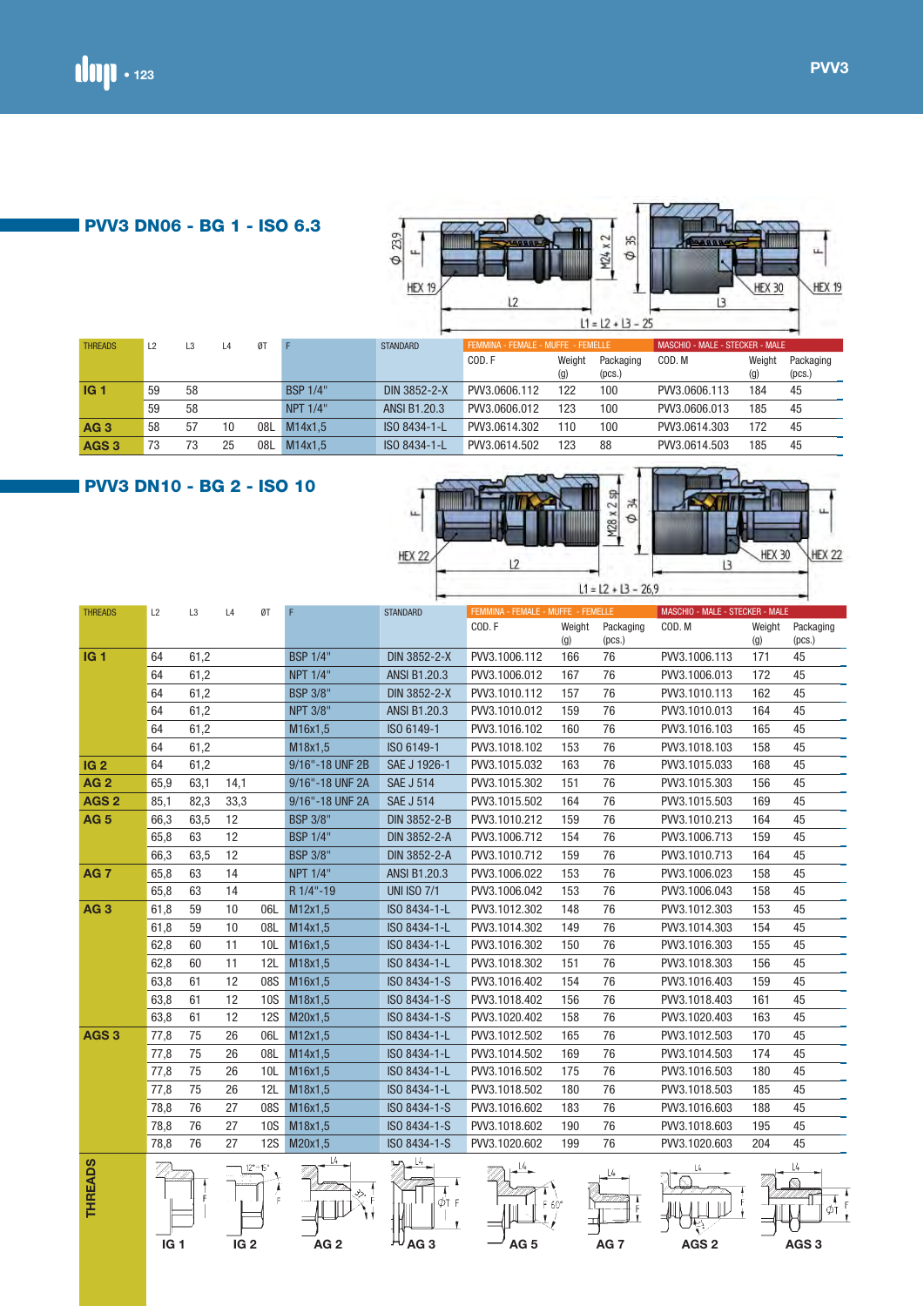| $\phi$ 239<br>$\mathbf{u}$ | $\sim$<br>æ<br>$\times$<br>Θ | ц<br>HEX 19 |
|----------------------------|------------------------------|-------------|
|                            | $L1 = L2 + L3 - 25$          |             |
|                            |                              |             |

## **PVV3 DN06 - BG 1 - ISO 6.3**

|                  |    |    |    |     |                 |                 | $11 = 12 + 13 - 25$                |               |                     |                                 |               |                     |
|------------------|----|----|----|-----|-----------------|-----------------|------------------------------------|---------------|---------------------|---------------------------------|---------------|---------------------|
| <b>THREADS</b>   | L2 | L3 | L4 | ØТ  |                 | <b>STANDARD</b> | FEMMINA - FEMALE - MUFFE - FEMELLE |               |                     | MASCHIO - MALE - STECKER - MALE |               |                     |
|                  |    |    |    |     |                 |                 | COD.F                              | Weight<br>(g) | Packaging<br>(pcs.) | COD. M                          | Weight<br>(g) | Packaging<br>(pcs.) |
| IG <sub>1</sub>  | 59 | 58 |    |     | <b>BSP 1/4"</b> | DIN 3852-2-X    | PVV3.0606.112                      | 122           | 100                 | PVV3.0606.113                   | 184           | 45                  |
|                  | 59 | 58 |    |     | NPT 1/4"        | ANSI B1.20.3    | PVV3.0606.012                      | 123           | 100                 | PVV3.0606.013                   | 185           | 45                  |
| AG <sub>3</sub>  | 58 | 57 | 10 | 08L | M14x1.5         | ISO 8434-1-L    | PVV3.0614.302                      | 110           | 100                 | PVV3.0614.303                   | 172           | 45                  |
| AGS <sub>3</sub> | 73 | 73 | 25 | 08L | M14x1.5         | ISO 8434-1-L    | PVV3.0614.502                      | 123           | 88                  | PVV3.0614.503                   | 185           | 45                  |

# **PVV3 DN10 - BG 2 - ISO 10**



| <b>THREADS</b>   | L2              | L3   | L4              | ØT         | F               | <b>STANDARD</b>     | FEMMINA - FEMALE - MUFFE - FEMELLE |            |                 | MASCHIO - MALE - STECKER - MALE |            |                     |
|------------------|-----------------|------|-----------------|------------|-----------------|---------------------|------------------------------------|------------|-----------------|---------------------------------|------------|---------------------|
|                  |                 |      |                 |            |                 |                     | COD.F                              | Weight     | Packaging       | COD. M                          | Weight     | Packaging           |
| <b>IG1</b>       | 64              | 61,2 |                 |            | <b>BSP 1/4"</b> | DIN 3852-2-X        | PVV3.1006.112                      | (g)<br>166 | (pcs.)<br>76    | PW3.1006.113                    | (g)<br>171 | (pcs.)<br>45        |
|                  | 64              | 61,2 |                 |            | <b>NPT 1/4"</b> | ANSI B1.20.3        | PVV3.1006.012                      | 167        | 76              | PW3.1006.013                    | 172        | 45                  |
|                  | 64              | 61,2 |                 |            | <b>BSP 3/8"</b> | DIN 3852-2-X        | PVV3.1010.112                      | 157        | 76              | PW3.1010.113                    | 162        | 45                  |
|                  | 64              | 61,2 |                 |            | <b>NPT 3/8"</b> | <b>ANSI B1.20.3</b> | PVV3.1010.012                      | 159        | 76              | PVV3.1010.013                   | 164        | 45                  |
|                  | 64              | 61,2 |                 |            | M16x1,5         | ISO 6149-1          | PVV3.1016.102                      | 160        | 76              | PW3.1016.103                    | 165        | 45                  |
|                  | 64              | 61,2 |                 |            | M18x1,5         | ISO 6149-1          | PVV3.1018.102                      | 153        | 76              | PW3.1018.103                    | 158        | 45                  |
| <b>IG 2</b>      | 64              | 61,2 |                 |            | 9/16"-18 UNF 2B | SAE J 1926-1        | PVV3.1015.032                      | 163        | 76              | PVV3.1015.033                   | 168        | 45                  |
| AG <sub>2</sub>  | 65.9            | 63,1 | 14,1            |            | 9/16"-18 UNF 2A | <b>SAE J 514</b>    | PVV3.1015.302                      | 151        | 76              | PW3.1015.303                    | 156        | 45                  |
| AGS <sub>2</sub> | 85,1            | 82,3 | 33,3            |            | 9/16"-18 UNF 2A | <b>SAE J 514</b>    | PVV3.1015.502                      | 164        | 76              | PW3.1015.503                    | 169        | 45                  |
| <b>AG 5</b>      | 66,3            | 63,5 | 12              |            | <b>BSP 3/8"</b> | DIN 3852-2-B        | PVV3.1010.212                      | 159        | 76              | PW3.1010.213                    | 164        | 45                  |
|                  | 65,8            | 63   | 12              |            | <b>BSP 1/4"</b> | DIN 3852-2-A        | PVV3.1006.712                      | 154        | 76              | PW3.1006.713                    | 159        | 45                  |
|                  | 66,3            | 63,5 | 12              |            | <b>BSP 3/8"</b> | DIN 3852-2-A        | PVV3.1010.712                      | 159        | 76              | PW3.1010.713                    | 164        | 45                  |
| <b>AG 7</b>      | 65,8            | 63   | 14              |            | <b>NPT 1/4"</b> | <b>ANSI B1.20.3</b> | PVV3.1006.022                      | 153        | 76              | PW3.1006.023                    | 158        | 45                  |
|                  | 65,8            | 63   | 14              |            | R 1/4"-19       | <b>UNI ISO 7/1</b>  | PVV3.1006.042                      | 153        | 76              | PW3.1006.043                    | 158        | 45                  |
| AG <sub>3</sub>  | 61,8            | 59   | 10              | 06L        | M12x1,5         | ISO 8434-1-L        | PVV3.1012.302                      | 148        | 76              | PW3.1012.303                    | 153        | 45                  |
|                  | 61,8            | 59   | 10              | 08L        | M14x1,5         | ISO 8434-1-L        | PVV3.1014.302                      | 149        | 76              | PVV3.1014.303                   | 154        | 45                  |
|                  | 62,8            | 60   | 11              | 10L        | M16x1,5         | ISO 8434-1-L        | PVV3.1016.302                      | 150        | 76              | PW3.1016.303                    | 155        | 45                  |
|                  | 62,8            | 60   | 11              | 12L        | M18x1,5         | ISO 8434-1-L        | PVV3.1018.302                      | 151        | 76              | PW3.1018.303                    | 156        | 45                  |
|                  | 63,8            | 61   | 12              | 08S        | M16x1,5         | ISO 8434-1-S        | PVV3.1016.402                      | 154        | 76              | PW3.1016.403                    | 159        | 45                  |
|                  | 63,8            | 61   | 12              | 10S        | M18x1,5         | ISO 8434-1-S        | PVV3.1018.402                      | 156        | 76              | PW3.1018.403                    | 161        | 45                  |
|                  | 63,8            | 61   | 12              | <b>12S</b> | M20x1,5         | ISO 8434-1-S        | PVV3.1020.402                      | 158        | 76              | PW3.1020.403                    | 163        | 45                  |
| AGS <sub>3</sub> | 77,8            | 75   | 26              | 06L        | M12x1,5         | ISO 8434-1-L        | PVV3.1012.502                      | 165        | 76              | PW3.1012.503                    | 170        | 45                  |
|                  | 77,8            | 75   | 26              | 08L        | M14x1,5         | ISO 8434-1-L        | PVV3.1014.502                      | 169        | 76              | PW3.1014.503                    | 174        | 45                  |
|                  | 77,8            | 75   | 26              | 10L        | M16x1,5         | ISO 8434-1-L        | PVV3.1016.502                      | 175        | 76              | PW3.1016.503                    | 180        | 45                  |
|                  | 77,8            | 75   | 26              | 12L        | M18x1,5         | ISO 8434-1-L        | PVV3.1018.502                      | 180        | 76              | PW3.1018.503                    | 185        | 45                  |
|                  | 78,8            | 76   | 27              | 08S        | M16x1,5         | ISO 8434-1-S        | PVV3.1016.602                      | 183        | 76              | PW3.1016.603                    | 188        | 45                  |
|                  | 78,8            | 76   | 27              | <b>10S</b> | M18x1,5         | ISO 8434-1-S        | PVV3.1018.602                      | 190        | 76              | PW3.1018.603                    | 195        | 45                  |
|                  | 78,8            | 76   | 27              | <b>12S</b> | M20x1,5         | ISO 8434-1-S        | PVV3.1020.602                      | 199        | 76              | PW3.1020.603                    | 204        | 45                  |
| <b>THREADS</b>   |                 |      |                 | ÷15°       | L4<br>୬.        | L4<br>φt f          |                                    | F 60°      | A               |                                 |            | $\overline{\phi}$ T |
|                  | IG <sub>1</sub> |      | IG <sub>2</sub> |            | AG <sub>2</sub> | AG <sub>3</sub>     | AG <sub>5</sub>                    |            | AG <sub>7</sub> | AGS <sub>2</sub>                |            | AGS <sub>3</sub>    |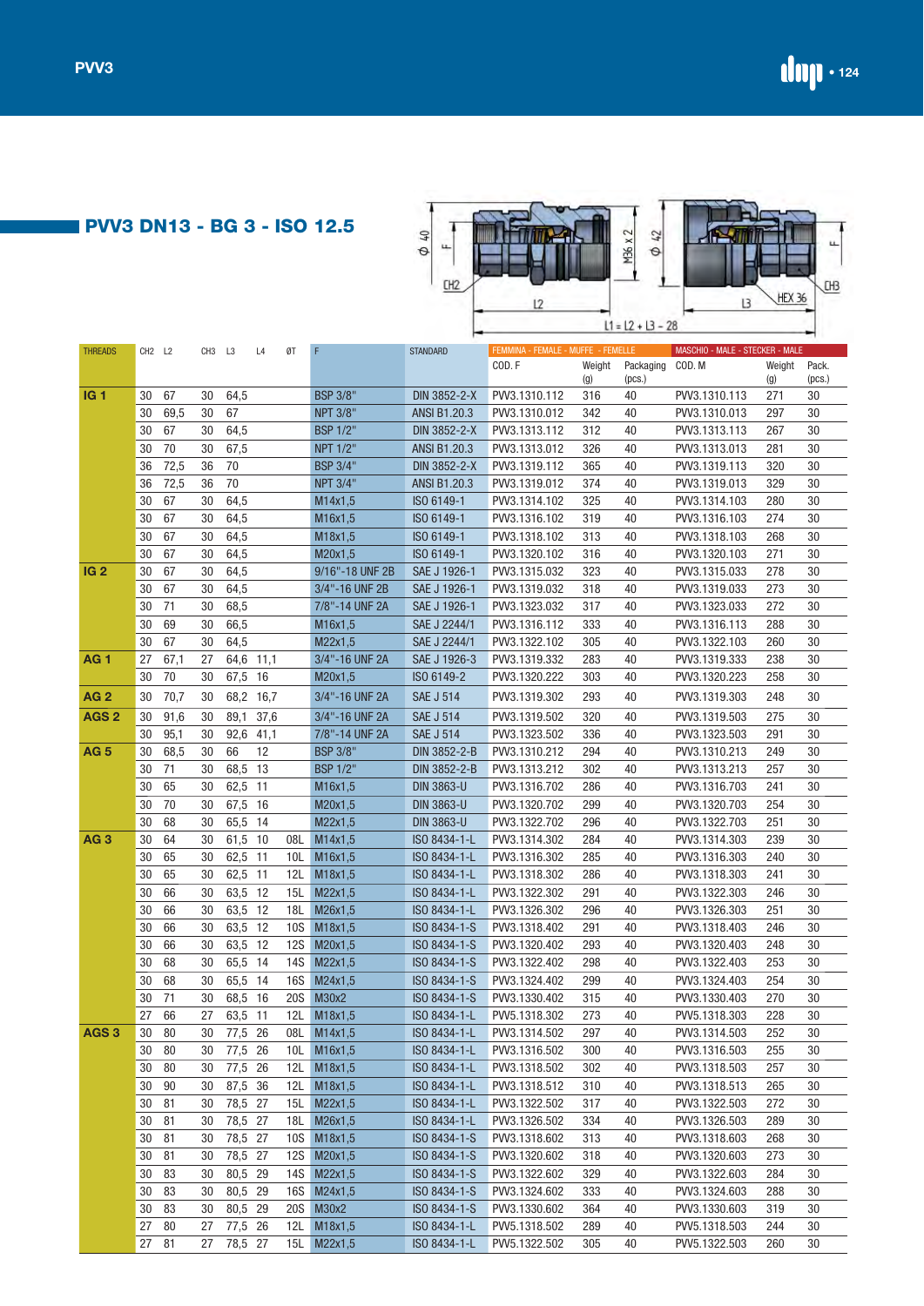# **PVV3 DN13 - BG 3 - ISO 12.5**



| <b>THREADS</b>   | CH <sub>2</sub> L <sub>2</sub> |      | CH3 L3 |           | L4        | ØT  | F               | <b>STANDARD</b>   | FEMMINA - FEMALE - MUFFE - FEMELLE |                             |                     | MASCHIO - MALE - STECKER - MALE |               |                 |
|------------------|--------------------------------|------|--------|-----------|-----------|-----|-----------------|-------------------|------------------------------------|-----------------------------|---------------------|---------------------------------|---------------|-----------------|
|                  |                                |      |        |           |           |     |                 |                   | COD.F                              | Weight<br>$\left( 9\right)$ | Packaging<br>(pcs.) | COD. M                          | Weight<br>(g) | Pack.<br>(pcs.) |
| IG <sub>1</sub>  | 30                             | 67   | 30     | 64,5      |           |     | <b>BSP 3/8"</b> | DIN 3852-2-X      | PW3.1310.112                       | 316                         | 40                  | PVV3.1310.113                   | 271           | 30              |
|                  | 30                             | 69,5 | 30     | 67        |           |     | <b>NPT 3/8"</b> | ANSI B1.20.3      | PW3.1310.012                       | 342                         | 40                  | PVV3.1310.013                   | 297           | 30              |
|                  | 30                             | 67   | 30     | 64,5      |           |     | <b>BSP 1/2"</b> | DIN 3852-2-X      | PW3.1313.112                       | 312                         | 40                  | PW3.1313.113                    | 267           | 30              |
|                  | 30                             | 70   | 30     | 67,5      |           |     | <b>NPT 1/2"</b> | ANSI B1.20.3      | PW3.1313.012                       | 326                         | 40                  | PW3.1313.013                    | 281           | 30              |
|                  | 36                             | 72,5 | 36     | 70        |           |     | <b>BSP 3/4"</b> | DIN 3852-2-X      | PW3.1319.112                       | 365                         | 40                  | PW3.1319.113                    | 320           | 30              |
|                  | 36                             | 72,5 | 36     | 70        |           |     | <b>NPT 3/4"</b> | ANSI B1.20.3      | PW3.1319.012                       | 374                         | 40                  | PW3.1319.013                    | 329           | 30              |
|                  | 30                             | 67   | 30     | 64,5      |           |     | M14x1,5         | ISO 6149-1        | PW3.1314.102                       | 325                         | 40                  | PW3.1314.103                    | 280           | 30              |
|                  | 30                             | 67   | 30     | 64,5      |           |     | M16x1,5         | ISO 6149-1        | PW3.1316.102                       | 319                         | 40                  | PW3.1316.103                    | 274           | 30              |
|                  | 30                             | 67   | 30     | 64,5      |           |     | M18x1,5         | ISO 6149-1        | PW3.1318.102                       | 313                         | 40                  | PW3.1318.103                    | 268           | 30              |
|                  | 30                             | 67   | 30     | 64,5      |           |     | M20x1,5         | ISO 6149-1        | PW3.1320.102                       | 316                         | 40                  | PVV3.1320.103                   | 271           | 30              |
| IG <sub>2</sub>  | 30                             | 67   | 30     | 64,5      |           |     | 9/16"-18 UNF 2B | SAE J 1926-1      | PW3.1315.032                       | 323                         | 40                  | PVV3.1315.033                   | 278           | 30              |
|                  | 30                             | 67   | 30     | 64,5      |           |     | 3/4"-16 UNF 2B  | SAE J 1926-1      | PW3.1319.032                       | 318                         | 40                  | PW3.1319.033                    | 273           | 30              |
|                  | 30                             | 71   | 30     | 68,5      |           |     | 7/8"-14 UNF 2A  | SAE J 1926-1      | PW3.1323.032                       | 317                         | 40                  | PVV3.1323.033                   | 272           | 30              |
|                  | 30                             | 69   | 30     | 66,5      |           |     | M16x1,5         | SAE J 2244/1      | PW3.1316.112                       | 333                         | 40                  | PVV3.1316.113                   | 288           | 30              |
|                  | 30                             | 67   | 30     | 64,5      |           |     | M22x1,5         | SAE J 2244/1      | PW3.1322.102                       | 305                         | 40                  | PW3.1322.103                    | 260           | 30              |
| AG <sub>1</sub>  | 27                             | 67,1 | 27     | 64,6 11,1 |           |     | 3/4"-16 UNF 2A  | SAE J 1926-3      | PW3.1319.332                       | 283                         | 40                  | PW3.1319.333                    | 238           | 30              |
|                  | 30                             | 70   | 30     | 67,5 16   |           |     | M20x1,5         | ISO 6149-2        | PW3.1320.222                       | 303                         | 40                  | PVV3.1320.223                   | 258           | 30              |
| <b>AG2</b>       | 30                             | 70,7 | 30     |           | 68,2 16,7 |     | 3/4"-16 UNF 2A  | <b>SAE J 514</b>  | PW3.1319.302                       | 293                         | 40                  | PW3.1319.303                    | 248           | 30              |
| AGS <sub>2</sub> | 30                             | 91,6 | 30     | 89,1      | 37,6      |     | 3/4"-16 UNF 2A  | <b>SAE J 514</b>  | PW3.1319.502                       | 320                         | 40                  | PVV3.1319.503                   | 275           | 30              |
|                  | 30                             | 95,1 | 30     | 92,6      | 41,1      |     | 7/8"-14 UNF 2A  | <b>SAE J 514</b>  | PW3.1323.502                       | 336                         | 40                  | PW3.1323.503                    | 291           | 30              |
| <b>AG 5</b>      | 30                             | 68,5 | 30     | 66        | 12        |     | <b>BSP 3/8"</b> | DIN 3852-2-B      | PW3.1310.212                       | 294                         | 40                  | PW3.1310.213                    | 249           | 30              |
|                  | 30                             | 71   | 30     | 68,5 13   |           |     | <b>BSP 1/2"</b> | DIN 3852-2-B      | PW3.1313.212                       | 302                         | 40                  | PW3.1313.213                    | 257           | 30              |
|                  | 30                             | 65   | 30     | 62,5 11   |           |     | M16x1,5         | <b>DIN 3863-U</b> | PW3.1316.702                       | 286                         | 40                  | PW3.1316.703                    | 241           | 30              |
|                  | 30                             | 70   | 30     | 67,5 16   |           |     | M20x1,5         | <b>DIN 3863-U</b> | PW3.1320.702                       | 299                         | 40                  | PW3.1320.703                    | 254           | 30              |
|                  | 30                             | 68   | 30     | $65,5$ 14 |           |     | M22x1,5         | <b>DIN 3863-U</b> | PW3.1322.702                       | 296                         | 40                  | PVV3.1322.703                   | 251           | 30              |
| AG <sub>3</sub>  | 30                             | 64   | 30     | 61,5 10   |           | 08L | M14x1,5         | ISO 8434-1-L      | PW3.1314.302                       | 284                         | 40                  | PW3.1314.303                    | 239           | 30              |
|                  | 30                             | 65   | 30     | 62,5 11   |           | 10L | M16x1,5         | ISO 8434-1-L      | PW3.1316.302                       | 285                         | 40                  | PW3.1316.303                    | 240           | 30              |
|                  | 30                             | 65   | 30     | 62,5 11   |           | 12L | M18x1,5         | ISO 8434-1-L      | PW3.1318.302                       | 286                         | 40                  | PW3.1318.303                    | 241           | 30              |
|                  | 30                             | 66   | 30     | 63,5 12   |           | 15L | M22x1,5         | ISO 8434-1-L      | PW3.1322.302                       | 291                         | 40                  | PW3.1322.303                    | 246           | 30              |
|                  | 30                             | 66   | 30     | 63,5 12   |           | 18L | M26x1,5         | ISO 8434-1-L      | PW3.1326.302                       | 296                         | 40                  | PW3.1326.303                    | 251           | 30              |
|                  | 30                             | 66   | 30     | 63,5 12   |           |     | 10S M18x1,5     | ISO 8434-1-S      | PW3.1318.402                       | 291                         | 40                  | PVV3.1318.403                   | 246           | 30              |
|                  | 30                             | 66   | 30     | 63,5 12   |           |     | 12S M20x1,5     | ISO 8434-1-S      | PW3.1320.402                       | 293                         | 40                  | PW3.1320.403                    | 248           | 30              |
|                  | 30                             | 68   | 30     | 65,5 14   |           |     | 14S M22x1,5     | ISO 8434-1-S      | PW3.1322.402                       | 298                         | 40                  | PW3.1322.403                    | 253           | 30              |
|                  | 30                             | 68   | 30     | 65,5 14   |           |     | 16S M24x1,5     | ISO 8434-1-S      | PW3.1324.402                       | 299                         | 40                  | PVV3.1324.403                   | 254           | 30              |
|                  | 30                             | 71   | 30     | 68,5 16   |           |     | 20S M30x2       | ISO 8434-1-S      | PW3.1330.402                       | 315                         | 40                  | PW3.1330.403                    | 270           | 30              |
|                  | 27                             | 66   | 27     | 63,5 11   |           | 12L | M18x1,5         | ISO 8434-1-L      | PW5.1318.302                       | 273                         | 40                  | PW5.1318.303                    | 228           | 30              |
| AGS <sub>3</sub> | 30                             | 80   | 30     | 77,5 26   |           |     | 08L M14x1,5     | ISO 8434-1-L      | PW3.1314.502                       | 297                         | 40                  | PW3.1314.503                    | 252           | 30              |
|                  | 30                             | 80   | 30     | 77,5 26   |           |     | 10L M16x1,5     | ISO 8434-1-L      | PW3.1316.502                       | 300                         | 40                  | PW3.1316.503                    | 255           | 30              |
|                  | 30                             | 80   | 30     | 77,5 26   |           |     | 12L M18x1,5     | ISO 8434-1-L      | PW3.1318.502                       | 302                         | 40                  | PW3.1318.503                    | 257           | 30              |
|                  | 30                             | 90   | 30     | 87,5 36   |           |     | 12L M18x1,5     | ISO 8434-1-L      | PW3.1318.512                       | 310                         | 40                  | PVV3.1318.513                   | 265           | 30              |
|                  | 30                             | 81   | 30     | 78,5 27   |           |     | 15L M22x1,5     | ISO 8434-1-L      | PW3.1322.502                       | 317                         | 40                  | PVV3.1322.503                   | 272           | 30              |
|                  | 30                             | 81   | 30     | 78,5 27   |           |     | 18L M26x1,5     | ISO 8434-1-L      | PW3.1326.502                       | 334                         | 40                  | PVV3.1326.503                   | 289           | 30              |
|                  | 30                             | 81   | 30     | 78,5 27   |           |     | 10S M18x1,5     | ISO 8434-1-S      | PW3.1318.602                       | 313                         | 40                  | PVV3.1318.603                   | 268           | 30              |
|                  | 30                             | 81   | 30     | 78,5 27   |           |     | 12S M20x1,5     | ISO 8434-1-S      | PW3.1320.602                       | 318                         | 40                  | PVV3.1320.603                   | 273           | 30              |
|                  | 30                             | 83   | 30     | 80,5 29   |           |     | 14S M22x1,5     | ISO 8434-1-S      | PW3.1322.602                       | 329                         | 40                  | PW3.1322.603                    | 284           | 30              |
|                  | 30                             | 83   | 30     | 80,5 29   |           |     | 16S M24x1,5     | ISO 8434-1-S      | PW3.1324.602                       | 333                         | 40                  | PW3.1324.603                    | 288           | 30              |
|                  | 30                             | 83   | 30     | 80,5 29   |           |     | 20S M30x2       | ISO 8434-1-S      | PW3.1330.602                       | 364                         | 40                  | PW3.1330.603                    | 319           | 30              |
|                  | 27                             | 80   | 27     | 77,5 26   |           |     | 12L M18x1,5     | ISO 8434-1-L      | PW5.1318.502                       | 289                         | 40                  | PW5.1318.503                    | 244           | 30              |
|                  | 27                             | 81   | 27     | 78,5 27   |           |     | 15L M22x1,5     | ISO 8434-1-L      | PW5.1322.502                       | 305                         | 40                  | PW5.1322.503                    | 260           | 30              |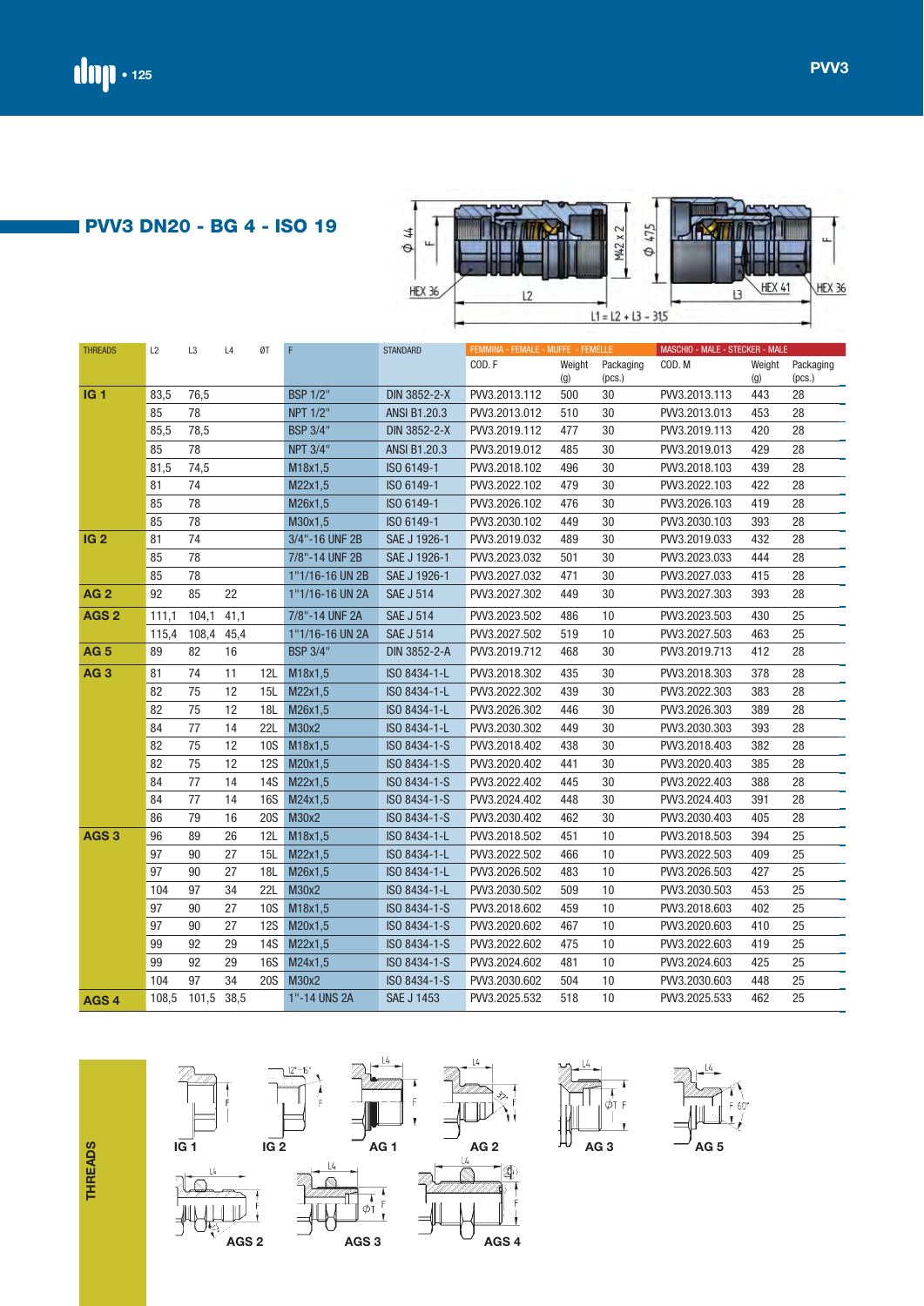

| <b>THREADS</b>   | L2    | L <sub>3</sub>   | L4   | ØT         | F               | <b>STANDARD</b>     | FEMMINA - FEMALE - MUFFE - FEMELLE |        |           | MASCHIO - MALE - STECKER - MALE |        |           |
|------------------|-------|------------------|------|------------|-----------------|---------------------|------------------------------------|--------|-----------|---------------------------------|--------|-----------|
|                  |       |                  |      |            |                 |                     | COD.F                              | Weight | Packaging | COD. M                          | Weight | Packaging |
|                  |       |                  |      |            |                 |                     |                                    | (g)    | (pcs.)    |                                 | (g)    | (pcs.)    |
| <b>IG1</b>       | 83,5  | 76,5             |      |            | <b>BSP 1/2"</b> | DIN 3852-2-X        | PW3.2013.112                       | 500    | 30        | PVV3.2013.113                   | 443    | 28        |
|                  | 85    | 78               |      |            | <b>NPT 1/2"</b> | ANSI B1.20.3        | PW3.2013.012                       | 510    | 30        | PW3.2013.013                    | 453    | 28        |
|                  | 85,5  | 78,5             |      |            | <b>BSP 3/4"</b> | DIN 3852-2-X        | PW3.2019.112                       | 477    | 30        | PW3.2019.113                    | 420    | 28        |
|                  | 85    | 78               |      |            | <b>NPT 3/4"</b> | <b>ANSI B1.20.3</b> | PW3.2019.012                       | 485    | 30        | PVV3.2019.013                   | 429    | 28        |
|                  | 81,5  | 74,5             |      |            | M18x1,5         | ISO 6149-1          | PW3.2018.102                       | 496    | 30        | PVV3.2018.103                   | 439    | 28        |
|                  | 81    | 74               |      |            | M22x1,5         | ISO 6149-1          | PW3.2022.102                       | 479    | 30        | PVV3.2022.103                   | 422    | 28        |
|                  | 85    | 78               |      |            | M26x1,5         | ISO 6149-1          | PW3.2026.102                       | 476    | 30        | PVV3.2026.103                   | 419    | 28        |
|                  | 85    | 78               |      |            | M30x1,5         | ISO 6149-1          | PW3.2030.102                       | 449    | 30        | PVV3.2030.103                   | 393    | 28        |
| <b>IG 2</b>      | 81    | 74               |      |            | 3/4"-16 UNF 2B  | SAE J 1926-1        | PW3.2019.032                       | 489    | 30        | PVV3.2019.033                   | 432    | 28        |
|                  | 85    | 78               |      |            | 7/8"-14 UNF 2B  | SAE J 1926-1        | PW3.2023.032                       | 501    | 30        | PVV3.2023.033                   | 444    | 28        |
|                  | 85    | 78               |      |            | 1"1/16-16 UN 2B | SAE J 1926-1        | PW3.2027.032                       | 471    | 30        | PVV3.2027.033                   | 415    | 28        |
| <b>AG2</b>       | 92    | 85               | 22   |            | 1"1/16-16 UN 2A | <b>SAE J 514</b>    | PW3.2027.302                       | 449    | 30        | PVV3.2027.303                   | 393    | 28        |
| AGS <sub>2</sub> | 111,1 | 104,1            | 41,1 |            | 7/8"-14 UNF 2A  | <b>SAE J 514</b>    | PW3.2023.502                       | 486    | 10        | PVV3.2023.503                   | 430    | 25        |
|                  | 115,4 | 108,4            | 45,4 |            | 1"1/16-16 UN 2A | <b>SAE J 514</b>    | PW3.2027.502                       | 519    | 10        | PVV3.2027.503                   | 463    | 25        |
| <b>AG 5</b>      | 89    | 82               | 16   |            | <b>BSP 3/4"</b> | DIN 3852-2-A        | PW3.2019.712                       | 468    | 30        | PW3.2019.713                    | 412    | 28        |
| AG <sub>3</sub>  | 81    | 74               | 11   | 12L        | M18x1,5         | ISO 8434-1-L        | PW3.2018.302                       | 435    | 30        | PVV3.2018.303                   | 378    | 28        |
|                  | 82    | 75               | 12   | 15L        | M22x1,5         | ISO 8434-1-L        | PW3.2022.302                       | 439    | 30        | PVV3.2022.303                   | 383    | 28        |
|                  | 82    | 75               | 12   | 18L        | M26x1,5         | ISO 8434-1-L        | PW3.2026.302                       | 446    | 30        | PVV3.2026.303                   | 389    | 28        |
|                  | 84    | 77               | 14   | 22L        | M30x2           | ISO 8434-1-L        | PW3.2030.302                       | 449    | 30        | PVV3.2030.303                   | 393    | 28        |
|                  | 82    | 75               | 12   | 10S        | M18x1,5         | ISO 8434-1-S        | PW3.2018.402                       | 438    | 30        | PVV3.2018.403                   | 382    | 28        |
|                  | 82    | 75               | 12   | <b>12S</b> | M20x1,5         | ISO 8434-1-S        | PW3.2020.402                       | 441    | 30        | PVV3.2020.403                   | 385    | 28        |
|                  | 84    | 77               | 14   | <b>14S</b> | M22x1,5         | ISO 8434-1-S        | PW3.2022.402                       | 445    | 30        | PVV3.2022.403                   | 388    | 28        |
|                  | 84    | 77               | 14   | <b>16S</b> | M24x1,5         | ISO 8434-1-S        | PW3.2024.402                       | 448    | 30        | PVV3.2024.403                   | 391    | 28        |
|                  | 86    | 79               | 16   | <b>20S</b> | M30x2           | ISO 8434-1-S        | PW3.2030.402                       | 462    | 30        | PVV3.2030.403                   | 405    | 28        |
| AGS <sub>3</sub> | 96    | 89               | 26   | 12L        | M18x1,5         | ISO 8434-1-L        | PW3.2018.502                       | 451    | 10        | PW3.2018.503                    | 394    | 25        |
|                  | 97    | 90               | 27   | 15L        | M22x1,5         | ISO 8434-1-L        | PW3.2022.502                       | 466    | 10        | PVV3.2022.503                   | 409    | 25        |
|                  | 97    | 90               | 27   | 18L        | M26x1,5         | ISO 8434-1-L        | PW3.2026.502                       | 483    | 10        | PVV3.2026.503                   | 427    | 25        |
|                  | 104   | 97               | 34   | 22L        | M30x2           | ISO 8434-1-L        | PW3.2030.502                       | 509    | 10        | PVV3.2030.503                   | 453    | 25        |
|                  | 97    | 90               | 27   | <b>10S</b> | M18x1,5         | ISO 8434-1-S        | PW3.2018.602                       | 459    | 10        | PVV3.2018.603                   | 402    | 25        |
|                  | 97    | 90               | 27   | <b>12S</b> | M20x1,5         | ISO 8434-1-S        | PW3.2020.602                       | 467    | 10        | PVV3.2020.603                   | 410    | 25        |
|                  | 99    | 92               | 29   | <b>14S</b> | M22x1,5         | ISO 8434-1-S        | PW3.2022.602                       | 475    | 10        | PVV3.2022.603                   | 419    | 25        |
|                  | 99    | 92               | 29   | <b>16S</b> | M24x1,5         | ISO 8434-1-S        | PW3.2024.602                       | 481    | 10        | PVV3.2024.603                   | 425    | 25        |
|                  | 104   | 97               | 34   | <b>20S</b> | M30x2           | ISO 8434-1-S        | PW3.2030.602                       | 504    | 10        | PVV3.2030.603                   | 448    | 25        |
| AGS <sub>4</sub> |       | 108,5 101,5 38,5 |      |            | 1"-14 UNS 2A    | SAE J 1453          | PW3.2025.532                       | 518    | 10        | PW3.2025.533                    | 462    | 25        |

**THREADS THREADS**







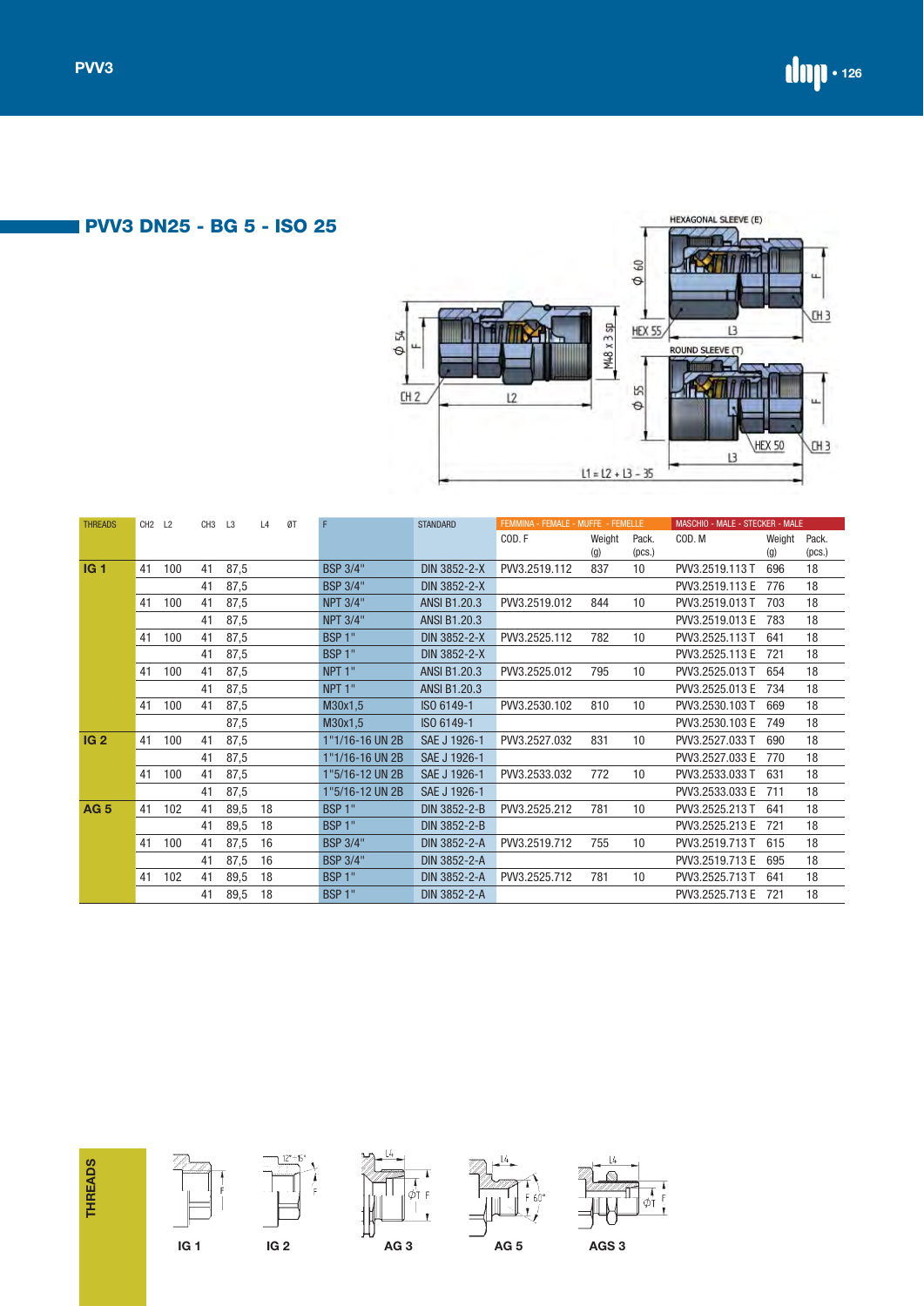# **PVV3 DN25 - BG 5 - ISO 25**



| <b>THREADS</b>  | CH <sub>2</sub> L <sub>2</sub> |     | CH <sub>3</sub> | L3   | L4 | ØT | F                  | <b>STANDARD</b>     | FEMMINA - FEMALE - MUFFE - FEMELLE |        |        | MASCHIO - MALE - STECKER - MALE |        |        |
|-----------------|--------------------------------|-----|-----------------|------|----|----|--------------------|---------------------|------------------------------------|--------|--------|---------------------------------|--------|--------|
|                 |                                |     |                 |      |    |    |                    |                     | COD.F                              | Weight | Pack.  | COD. M                          | Weight | Pack.  |
|                 |                                |     |                 |      |    |    |                    |                     |                                    | (q)    | (pcs.) |                                 | (q)    | (pcs.) |
| <b>IG1</b>      | 41                             | 100 | 41              | 87,5 |    |    | <b>BSP 3/4"</b>    | DIN 3852-2-X        | PVV3.2519.112                      | 837    | 10     | PVV3.2519.113 T                 | 696    | 18     |
|                 |                                |     | 41              | 87,5 |    |    | <b>BSP 3/4"</b>    | DIN 3852-2-X        |                                    |        |        | PW3.2519.113 E                  | 776    | 18     |
|                 | 41                             | 100 | 41              | 87,5 |    |    | <b>NPT 3/4"</b>    | <b>ANSI B1.20.3</b> | PVV3.2519.012                      | 844    | 10     | PVV3.2519.013 T                 | 703    | 18     |
|                 |                                |     | 41              | 87,5 |    |    | <b>NPT 3/4"</b>    | <b>ANSI B1.20.3</b> |                                    |        |        | PVV3.2519.013 E                 | 783    | 18     |
|                 | 41                             | 100 | 41              | 87,5 |    |    | <b>BSP 1"</b>      | DIN 3852-2-X        | PW3.2525.112                       | 782    | 10     | PVV3.2525.113 T                 | 641    | 18     |
|                 |                                |     | 41              | 87,5 |    |    | BSP <sub>1</sub> " | DIN 3852-2-X        |                                    |        |        | PW3.2525.113 E                  | 721    | 18     |
|                 | 41                             | 100 | 41              | 87,5 |    |    | NPT <sub>1</sub> " | <b>ANSI B1.20.3</b> | PW3.2525.012                       | 795    | 10     | PVV3.2525.013 T                 | 654    | 18     |
|                 |                                |     | 41              | 87,5 |    |    | NPT <sub>1</sub> " | <b>ANSI B1.20.3</b> |                                    |        |        | PVV3.2525.013 E                 | 734    | 18     |
|                 | 41                             | 100 | 41              | 87,5 |    |    | M30x1,5            | ISO 6149-1          | PVV3.2530.102                      | 810    | 10     | PVV3.2530.103 T                 | 669    | 18     |
|                 |                                |     |                 | 87,5 |    |    | M30x1,5            | ISO 6149-1          |                                    |        |        | PVV3.2530.103 E                 | 749    | 18     |
| IG <sub>2</sub> | 41                             | 100 | 41              | 87,5 |    |    | 1"1/16-16 UN 2B    | SAE J 1926-1        | PVV3.2527.032                      | 831    | 10     | PVV3.2527.033 T                 | 690    | 18     |
|                 |                                |     | 41              | 87,5 |    |    | 1"1/16-16 UN 2B    | SAE J 1926-1        |                                    |        |        | PVV3.2527.033 E                 | 770    | 18     |
|                 | 41                             | 100 | 41              | 87,5 |    |    | 1"5/16-12 UN 2B    | SAE J 1926-1        | PVV3.2533.032                      | 772    | 10     | PVV3.2533.033 T                 | 631    | 18     |
|                 |                                |     | 41              | 87,5 |    |    | 1"5/16-12 UN 2B    | SAE J 1926-1        |                                    |        |        | PVV3.2533.033 E                 | 711    | 18     |
| <b>AG 5</b>     | 41                             | 102 | 41              | 89,5 | 18 |    | <b>BSP 1"</b>      | DIN 3852-2-B        | PVV3.2525.212                      | 781    | 10     | PW3.2525.213 T                  | 641    | 18     |
|                 |                                |     | 41              | 89,5 | 18 |    | BSP <sub>1</sub> " | DIN 3852-2-B        |                                    |        |        | PVV3.2525.213 E                 | 721    | 18     |
|                 | 41                             | 100 | 41              | 87,5 | 16 |    | <b>BSP 3/4"</b>    | DIN 3852-2-A        | PW3.2519.712                       | 755    | 10     | PW3.2519.713 T                  | 615    | 18     |
|                 |                                |     | 41              | 87,5 | 16 |    | <b>BSP 3/4"</b>    | DIN 3852-2-A        |                                    |        |        | PW3.2519.713 E                  | 695    | 18     |
|                 | 41                             | 102 | 41              | 89,5 | 18 |    | BSP <sub>1</sub> " | DIN 3852-2-A        | PW3.2525.712                       | 781    | 10     | PVV3.2525.713 T                 | 641    | 18     |
|                 |                                |     | 41              | 89,5 | 18 |    | BSP <sub>1</sub> " | DIN 3852-2-A        |                                    |        |        | PW3.2525.713 E                  | 721    | 18     |

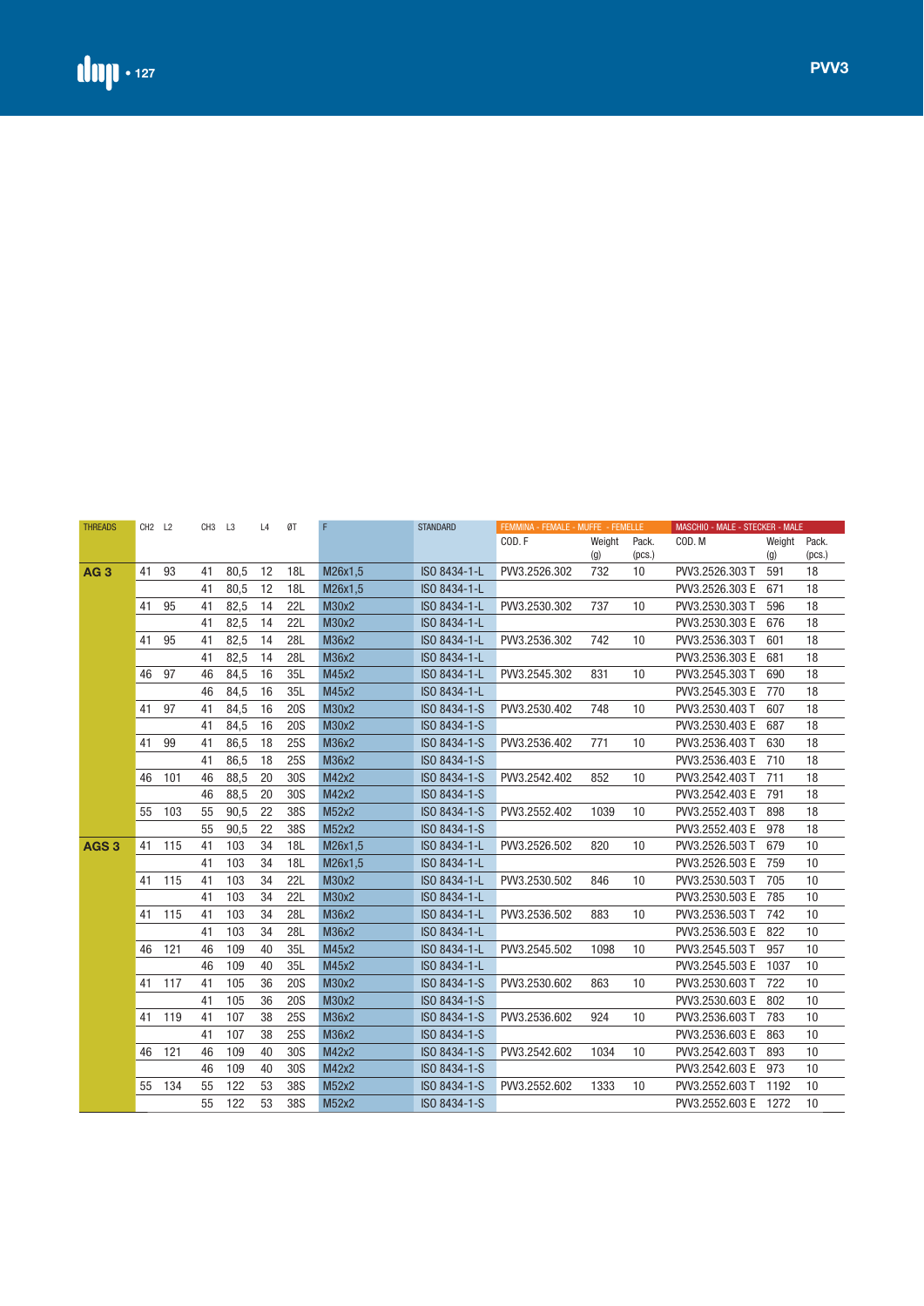| <b>THREADS</b>   | CH <sub>2</sub> L <sub>2</sub> |     | CH <sub>3</sub> L <sub>3</sub> |      | L4 | ØT         | F       | <b>STANDARD</b> | FEMMINA - FEMALE - MUFFE - FEMELLE |               |                 | MASCHIO - MALE - STECKER - MALE |               |                 |
|------------------|--------------------------------|-----|--------------------------------|------|----|------------|---------|-----------------|------------------------------------|---------------|-----------------|---------------------------------|---------------|-----------------|
|                  |                                |     |                                |      |    |            |         |                 | COD.F                              | Weight<br>(g) | Pack.<br>(pcs.) | COD. M                          | Weight<br>(g) | Pack.<br>(pcs.) |
| AG <sub>3</sub>  | 41                             | 93  | 41                             | 80,5 | 12 | 18L        | M26x1,5 | ISO 8434-1-L    | PVV3.2526.302                      | 732           | 10              | PVV3.2526.303 T                 | 591           | 18              |
|                  |                                |     | 41                             | 80,5 | 12 | 18L        | M26x1.5 | ISO 8434-1-L    |                                    |               |                 | PVV3.2526.303 E                 | 671           | 18              |
|                  | 41                             | 95  | 41                             | 82,5 | 14 | <b>22L</b> | M30x2   | ISO 8434-1-L    | PVV3.2530.302                      | 737           | 10              | PVV3.2530.303 T                 | 596           | 18              |
|                  |                                |     | 41                             | 82,5 | 14 | <b>22L</b> | M30x2   | ISO 8434-1-L    |                                    |               |                 | PVV3.2530.303 E                 | 676           | 18              |
|                  | 41                             | 95  | 41                             | 82,5 | 14 | 28L        | M36x2   | ISO 8434-1-L    | PVV3.2536.302                      | 742           | 10              | PVV3.2536.303 T                 | 601           | 18              |
|                  |                                |     | 41                             | 82,5 | 14 | <b>28L</b> | M36x2   | ISO 8434-1-L    |                                    |               |                 | PVV3.2536.303 E                 | 681           | 18              |
|                  | 46                             | 97  | 46                             | 84,5 | 16 | 35L        | M45x2   | ISO 8434-1-L    | PVV3.2545.302                      | 831           | 10              | PVV3.2545.303 T                 | 690           | 18              |
|                  |                                |     | 46                             | 84,5 | 16 | 35L        | M45x2   | ISO 8434-1-L    |                                    |               |                 | PVV3.2545.303 E                 | 770           | 18              |
|                  | 41                             | 97  | 41                             | 84,5 | 16 | <b>20S</b> | M30x2   | ISO 8434-1-S    | PVV3.2530.402                      | 748           | 10              | PVV3.2530.403 T                 | 607           | 18              |
|                  |                                |     | 41                             | 84,5 | 16 | <b>20S</b> | M30x2   | ISO 8434-1-S    |                                    |               |                 | PVV3.2530.403 E                 | 687           | 18              |
|                  | 41                             | 99  | 41                             | 86,5 | 18 | <b>25S</b> | M36x2   | ISO 8434-1-S    | PVV3.2536.402                      | 771           | 10              | PW3.2536.403 T                  | 630           | 18              |
|                  |                                |     | 41                             | 86,5 | 18 | <b>25S</b> | M36x2   | ISO 8434-1-S    |                                    |               |                 | PVV3.2536.403 E                 | 710           | 18              |
|                  | 46                             | 101 | 46                             | 88,5 | 20 | 30S        | M42x2   | ISO 8434-1-S    | PVV3.2542.402                      | 852           | 10              | PVV3.2542.403 T                 | 711           | 18              |
|                  |                                |     | 46                             | 88,5 | 20 | 30S        | M42x2   | ISO 8434-1-S    |                                    |               |                 | PVV3.2542.403 E                 | 791           | 18              |
|                  | 55                             | 103 | 55                             | 90,5 | 22 | 38S        | M52x2   | ISO 8434-1-S    | PVV3.2552.402                      | 1039          | 10              | PVV3.2552.403 T                 | 898           | 18              |
|                  |                                |     | 55                             | 90,5 | 22 | <b>38S</b> | M52x2   | ISO 8434-1-S    |                                    |               |                 | PVV3.2552.403 E                 | 978           | 18              |
| AGS <sub>3</sub> | 41                             | 115 | 41                             | 103  | 34 | 18L        | M26x1,5 | ISO 8434-1-L    | PVV3.2526.502                      | 820           | 10              | PW3.2526.503 T                  | 679           | 10              |
|                  |                                |     | 41                             | 103  | 34 | 18L        | M26x1.5 | ISO 8434-1-L    |                                    |               |                 | PVV3.2526.503 E                 | 759           | 10              |
|                  | 41                             | 115 | 41                             | 103  | 34 | 22L        | M30x2   | ISO 8434-1-L    | PVV3.2530.502                      | 846           | 10              | PVV3.2530.503 T                 | 705           | 10              |
|                  |                                |     | 41                             | 103  | 34 | <b>22L</b> | M30x2   | ISO 8434-1-L    |                                    |               |                 | PVV3.2530.503 E                 | 785           | 10              |
|                  | 41                             | 115 | 41                             | 103  | 34 | 28L        | M36x2   | ISO 8434-1-L    | PVV3.2536.502                      | 883           | 10              | PVV3.2536.503 T                 | 742           | 10              |
|                  |                                |     | 41                             | 103  | 34 | 28L        | M36x2   | ISO 8434-1-L    |                                    |               |                 | PVV3.2536.503 E                 | 822           | 10              |
|                  | 46                             | 121 | 46                             | 109  | 40 | 35L        | M45x2   | ISO 8434-1-L    | PVV3.2545.502                      | 1098          | 10              | PVV3.2545.503 T                 | 957           | 10              |
|                  |                                |     | 46                             | 109  | 40 | 35L        | M45x2   | ISO 8434-1-L    |                                    |               |                 | PVV3.2545.503 E                 | 1037          | 10              |
|                  | 41                             | 117 | 41                             | 105  | 36 | <b>20S</b> | M30x2   | ISO 8434-1-S    | PVV3.2530.602                      | 863           | 10              | PVV3.2530.603 T                 | 722           | 10              |
|                  |                                |     | 41                             | 105  | 36 | <b>20S</b> | M30x2   | ISO 8434-1-S    |                                    |               |                 | PVV3.2530.603 E                 | 802           | 10              |
|                  | 41                             | 119 | 41                             | 107  | 38 | <b>25S</b> | M36x2   | ISO 8434-1-S    | PVV3.2536.602                      | 924           | 10              | PVV3.2536.603 T                 | 783           | 10              |
|                  |                                |     | 41                             | 107  | 38 | <b>25S</b> | M36x2   | ISO 8434-1-S    |                                    |               |                 | PVV3.2536.603 E                 | 863           | 10              |
|                  | 46                             | 121 | 46                             | 109  | 40 | 30S        | M42x2   | ISO 8434-1-S    | PVV3.2542.602                      | 1034          | 10              | PVV3.2542.603 T                 | 893           | 10              |
|                  |                                |     | 46                             | 109  | 40 | 30S        | M42x2   | ISO 8434-1-S    |                                    |               |                 | PVV3.2542.603 E                 | 973           | 10              |
|                  | 55                             | 134 | 55                             | 122  | 53 | 38S        | M52x2   | ISO 8434-1-S    | PVV3.2552.602                      | 1333          | 10              | PVV3.2552.603 T                 | 1192          | 10              |
|                  |                                |     | 55                             | 122  | 53 | 38S        | M52x2   | ISO 8434-1-S    |                                    |               |                 | PVV3.2552.603 E                 | 1272          | 10              |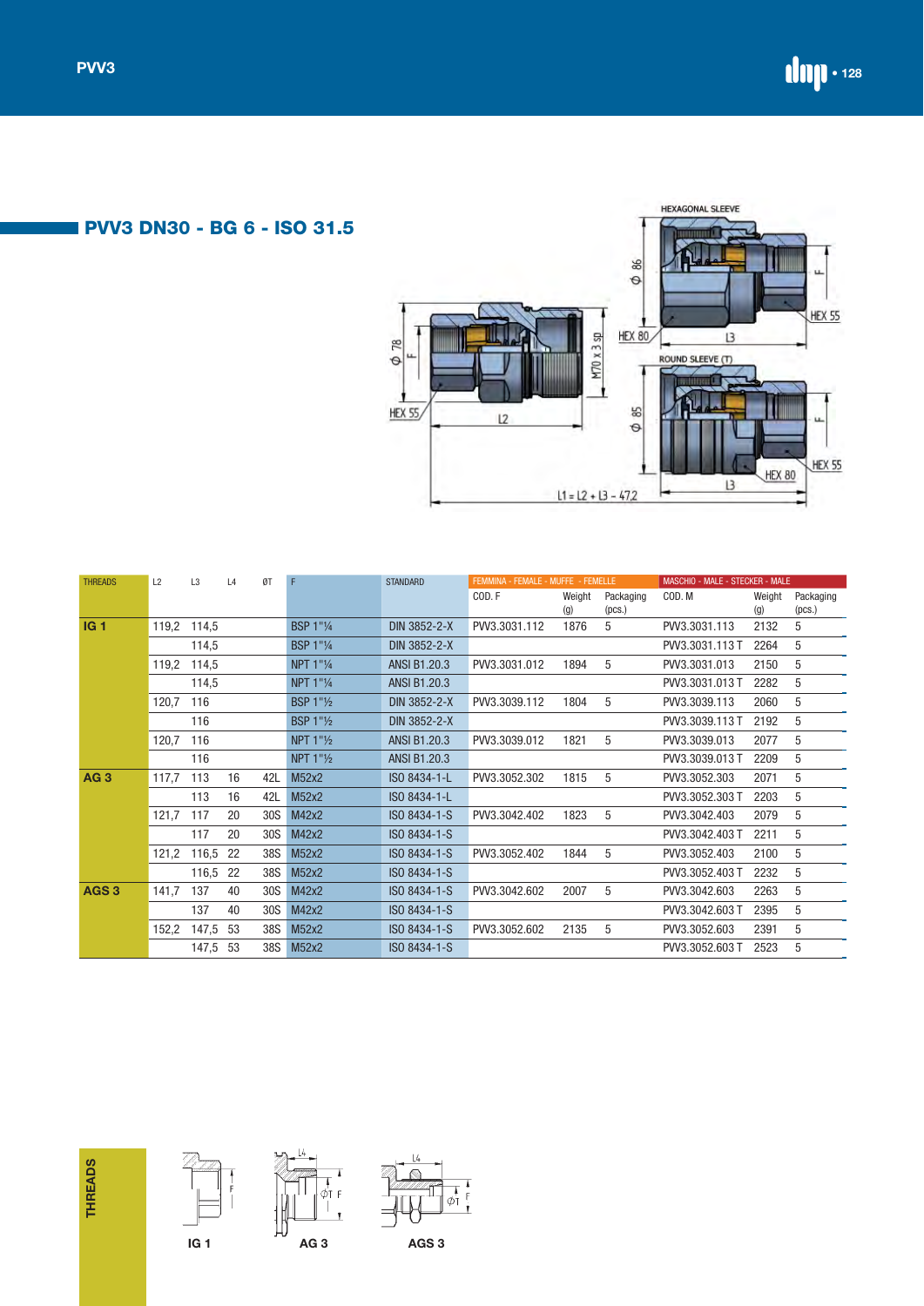**PVV3 • 128** 

# **PVV3 DN30 - BG 6 - ISO 31.5**



| <b>THREADS</b>   | F<br>L2<br>L <sub>3</sub><br>ØT<br>L4 |          |    |     |                  | <b>STANDARD</b>     | FEMMINA - FEMALE - MUFFE - FEMELLE |        |           | MASCHIO - MALE - STECKER - MALE |        |           |
|------------------|---------------------------------------|----------|----|-----|------------------|---------------------|------------------------------------|--------|-----------|---------------------------------|--------|-----------|
|                  |                                       |          |    |     |                  |                     | COD.F                              | Weight | Packaging | COD. M                          | Weight | Packaging |
|                  |                                       |          |    |     |                  |                     |                                    | (q)    | (pcs.)    |                                 | (q)    | (pcs.)    |
| IG <sub>1</sub>  | 119,2                                 | 114,5    |    |     | <b>BSP 1"1/4</b> | DIN 3852-2-X        | PW3.3031.112                       | 1876   | 5         | PW3.3031.113                    | 2132   | 5         |
|                  |                                       | 114,5    |    |     | <b>BSP 1"1/4</b> | DIN 3852-2-X        |                                    |        |           | PW3.3031.113 T                  | 2264   | 5         |
|                  | 119,2                                 | 114.5    |    |     | <b>NPT 1"1/4</b> | <b>ANSI B1.20.3</b> | PW3.3031.012                       | 1894   | 5         | PW3.3031.013                    | 2150   | 5         |
|                  |                                       | 114,5    |    |     | <b>NPT 1"1/4</b> | <b>ANSI B1.20.3</b> |                                    |        |           | PW3.3031.013 T                  | 2282   | 5         |
|                  | 120,7                                 | 116      |    |     | <b>BSP 1"1/2</b> | DIN 3852-2-X        | PW3.3039.112                       | 1804   | 5         | PW3.3039.113                    | 2060   | 5         |
|                  |                                       | 116      |    |     | <b>BSP 1"1/2</b> | DIN 3852-2-X        |                                    |        |           | PW3.3039.113 T                  | 2192   | 5         |
|                  | 120,7                                 | 116      |    |     | NPT 1"1/2        | <b>ANSI B1.20.3</b> | PW3.3039.012                       | 1821   | 5         | PW3.3039.013                    | 2077   | 5         |
|                  |                                       | 116      |    |     | NPT 1"1/2        | <b>ANSI B1.20.3</b> |                                    |        |           | PW3.3039.013 T                  | 2209   | 5         |
| AG3              | 117,7                                 | 113      | 16 | 42L | M52x2            | ISO 8434-1-L        | PW3.3052.302                       | 1815   | 5         | PW3.3052.303                    | 2071   | 5         |
|                  |                                       | 113      | 16 | 42L | M52x2            | ISO 8434-1-L        |                                    |        |           | PW3.3052.303 T                  | 2203   | 5         |
|                  | 121,7                                 | 117      | 20 | 30S | M42x2            | ISO 8434-1-S        | PW3.3042.402                       | 1823   | 5         | PW3.3042.403                    | 2079   | 5         |
|                  |                                       | 117      | 20 | 30S | M42x2            | ISO 8434-1-S        |                                    |        |           | PW3.3042.403 T                  | 2211   | 5         |
|                  | 121,2                                 | 116,5    | 22 | 38S | M52x2            | ISO 8434-1-S        | PW3.3052.402                       | 1844   | 5         | PW3.3052.403                    | 2100   | 5         |
|                  |                                       | 116,5    | 22 | 38S | M52x2            | ISO 8434-1-S        |                                    |        |           | PW3.3052.403 T                  | 2232   | 5         |
| AGS <sub>3</sub> | 141,7                                 | 137      | 40 | 30S | M42x2            | ISO 8434-1-S        | PW3.3042.602                       | 2007   | 5         | PVV3.3042.603                   | 2263   | 5         |
|                  |                                       | 137      | 40 | 30S | M42x2            | ISO 8434-1-S        |                                    |        |           | PVV3.3042.603 T                 | 2395   | 5         |
|                  | 152,2                                 | 147,5    | 53 | 38S | M52x2            | ISO 8434-1-S        | PW3.3052.602                       | 2135   | 5         | PVV3.3052.603                   | 2391   | 5         |
|                  |                                       | 147,5 53 |    | 38S | M52x2            | ISO 8434-1-S        |                                    |        |           | PW3.3052.603 T                  | 2523   | 5         |